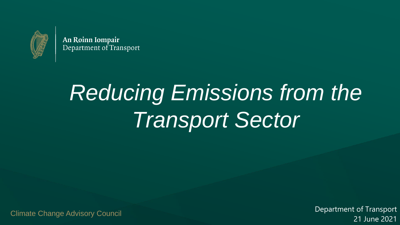

An Roinn Iompair Department of Transport

# *Reducing Emissions from the Transport Sector*

Climate Change Advisory Council

Department of Transport 21 June 2021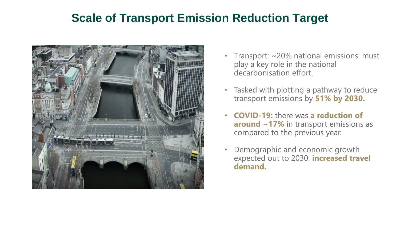#### **Scale of Transport Emission Reduction Target**



- Transport: ~20% national emissions: must play a key role in the national decarbonisation effort.
- Tasked with plotting a pathway to reduce transport emissions by **51% by 2030.**
- **COVID-19:** there was **a reduction of around ~17%** in transport emissions as compared to the previous year.
- Demographic and economic growth expected out to 2030: **increased travel demand.**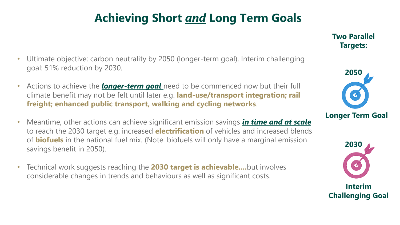### **Achieving Short** *and* **Long Term Goals**

- Ultimate objective: carbon neutrality by 2050 (longer-term goal). Interim challenging goal: 51% reduction by 2030.
- Actions to achieve the *longer-term goal* need to be commenced now but their full climate benefit may not be felt until later e.g. **land-use/transport integration; rail freight; enhanced public transport, walking and cycling networks**.
- Meantime, other actions can achieve significant emission savings *in time and at scale*  to reach the 2030 target e.g. increased **electrification** of vehicles and increased blends of **biofuels** in the national fuel mix. (Note: biofuels will only have a marginal emission savings benefit in 2050).
- Technical work suggests reaching the **2030 target is achievable....**but involves considerable changes in trends and behaviours as well as significant costs.





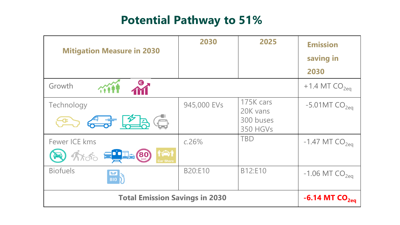#### **Potential Pathway to 51%**

| <b>Mitigation Measure in 2030</b>                                           | 2030               | 2025                                                  | <b>Emission</b><br>saving in<br>2030 |
|-----------------------------------------------------------------------------|--------------------|-------------------------------------------------------|--------------------------------------|
| Growth<br><b>CONNEL</b>                                                     |                    |                                                       | $+1.4$ MT CO <sub>2eq</sub>          |
| Technology<br>Co <del>65</del> 236                                          | 945,000 EVs        | 175K cars<br>20K vans<br>300 buses<br><b>350 HGVs</b> | $-5.01MTCO2ea$                       |
| Fewer ICE kms<br><b>TO THE</b><br><b>B</b> Arab ELLA 80<br><b>Car Share</b> | c.26%              | <b>TBD</b>                                            | $-1.47$ MT $CO2ea$                   |
| <b>Biofuels</b><br><b>N</b>                                                 | B20:E10            | B12:E10                                               | $-1.06$ MT $CO2ea$                   |
| <b>Total Emission Savings in 2030</b>                                       | $-6.14$ MT $CO2ea$ |                                                       |                                      |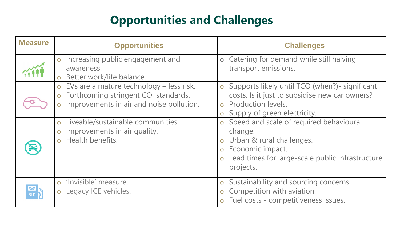### **Opportunities and Challenges**

| <b>Measure</b> | <b>Opportunities</b>                                                                                                                                                                                                                         | <b>Challenges</b>                                                                                                                                                                                                                                                                                                                                                        |
|----------------|----------------------------------------------------------------------------------------------------------------------------------------------------------------------------------------------------------------------------------------------|--------------------------------------------------------------------------------------------------------------------------------------------------------------------------------------------------------------------------------------------------------------------------------------------------------------------------------------------------------------------------|
|                | o Increasing public engagement and<br>awareness.<br>Better work/life balance.                                                                                                                                                                | o Catering for demand while still halving<br>transport emissions.                                                                                                                                                                                                                                                                                                        |
|                | EVs are a mature technology – less risk.<br>Forthcoming stringent CO <sub>2</sub> standards.<br>$\circ$<br>Improvements in air and noise pollution.<br>Liveable/sustainable communities.<br>Improvements in air quality.<br>Health benefits. | Supports likely until TCO (when?)- significant<br>$\circ$<br>costs. Is it just to subsidise new car owners?<br><b>Production levels.</b><br>Supply of green electricity.<br>Speed and scale of required behavioural<br>change.<br>o Urban & rural challenges.<br>Economic impact.<br>$\circ$<br>Lead times for large-scale public infrastructure<br>$\circ$<br>projects. |
|                | 'Invisible' measure.<br>Legacy ICE vehicles.                                                                                                                                                                                                 | Sustainability and sourcing concerns.<br>$\bigcirc$<br>Competition with aviation.<br>$\overline{O}$<br>Fuel costs - competitiveness issues.                                                                                                                                                                                                                              |